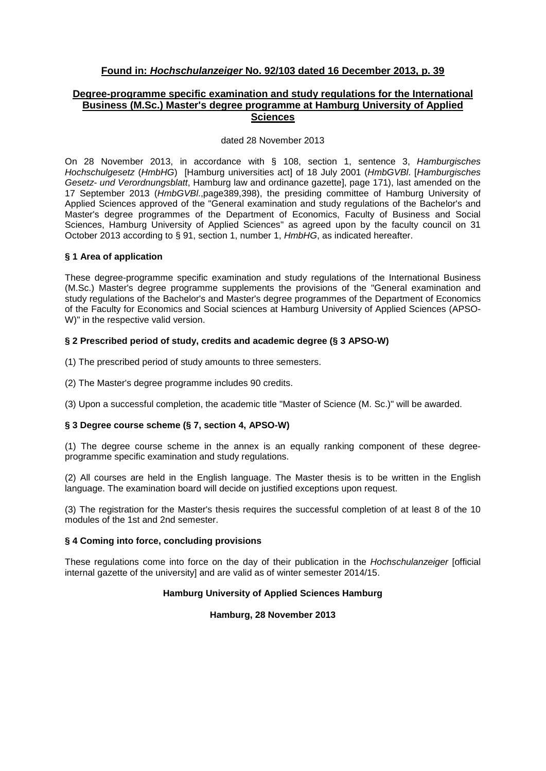## **Found in:** *Hochschulanzeiger* **No. 92/103 dated 16 December 2013, p. 39**

## **Degree-programme specific examination and study regulations for the International Business (M.Sc.) Master's degree programme at Hamburg University of Applied Sciences**

#### dated 28 November 2013

On 28 November 2013, in accordance with § 108, section 1, sentence 3, *Hamburgisches Hochschulgesetz* (*HmbHG*) [Hamburg universities act] of 18 July 2001 (*HmbGVBl*. [*Hamburgisches Gesetz- und Verordnungsblatt*, Hamburg law and ordinance gazette], page 171), last amended on the 17 September 2013 (*HmbGVBl*.,page389,398), the presiding committee of Hamburg University of Applied Sciences approved of the "General examination and study regulations of the Bachelor's and Master's degree programmes of the Department of Economics, Faculty of Business and Social Sciences, Hamburg University of Applied Sciences" as agreed upon by the faculty council on 31 October 2013 according to § 91, section 1, number 1, *HmbHG*, as indicated hereafter.

#### **§ 1 Area of application**

These degree-programme specific examination and study regulations of the International Business (M.Sc.) Master's degree programme supplements the provisions of the "General examination and study regulations of the Bachelor's and Master's degree programmes of the Department of Economics of the Faculty for Economics and Social sciences at Hamburg University of Applied Sciences (APSO-W)" in the respective valid version.

### **§ 2 Prescribed period of study, credits and academic degree (§ 3 APSO-W)**

(1) The prescribed period of study amounts to three semesters.

(2) The Master's degree programme includes 90 credits.

(3) Upon a successful completion, the academic title "Master of Science (M. Sc.)" will be awarded.

## **§ 3 Degree course scheme (§ 7, section 4, APSO-W)**

(1) The degree course scheme in the annex is an equally ranking component of these degreeprogramme specific examination and study regulations.

(2) All courses are held in the English language. The Master thesis is to be written in the English language. The examination board will decide on justified exceptions upon request.

(3) The registration for the Master's thesis requires the successful completion of at least 8 of the 10 modules of the 1st and 2nd semester.

#### **§ 4 Coming into force, concluding provisions**

These regulations come into force on the day of their publication in the *Hochschulanzeiger* [official internal gazette of the university] and are valid as of winter semester 2014/15.

## **Hamburg University of Applied Sciences Hamburg**

#### **Hamburg, 28 November 2013**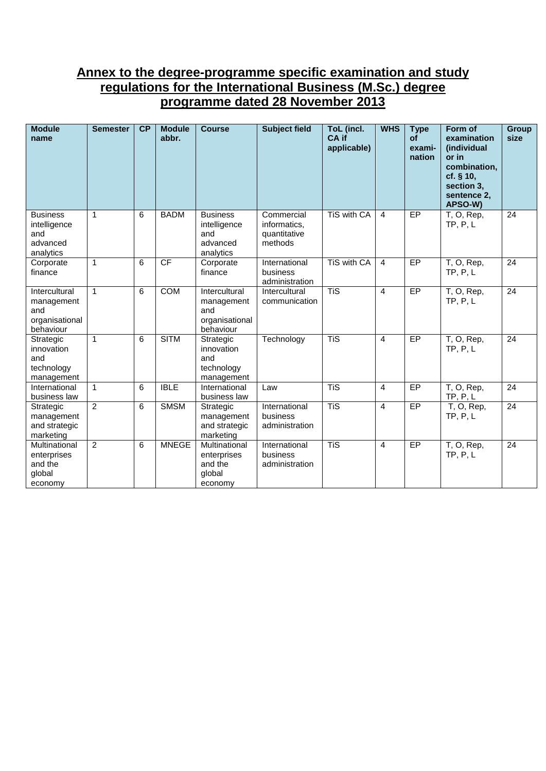# **Annex to the degree-programme specific examination and study regulations for the International Business (M.Sc.) degree programme dated 28 November 2013**

| <b>Module</b><br>name                                             | <b>Semester</b> | CP | <b>Module</b><br>abbr. | <b>Course</b>                                                     | <b>Subject field</b>                                  | ToL (incl.<br>CA if<br>applicable) | <b>WHS</b>     | <b>Type</b><br><b>of</b><br>exami-<br>nation | Form of<br>examination<br>(individual<br>or in<br>combination,<br>cf. § 10,<br>section 3,<br>sentence 2,<br>APSO-W) | <b>Group</b><br>size |
|-------------------------------------------------------------------|-----------------|----|------------------------|-------------------------------------------------------------------|-------------------------------------------------------|------------------------------------|----------------|----------------------------------------------|---------------------------------------------------------------------------------------------------------------------|----------------------|
| <b>Business</b><br>intelligence<br>and<br>advanced<br>analytics   | $\mathbf{1}$    | 6  | <b>BADM</b>            | <b>Business</b><br>intelligence<br>and<br>advanced<br>analytics   | Commercial<br>informatics,<br>quantitative<br>methods | TiS with CA                        | $\overline{4}$ | EP                                           | T, O, Rep,<br>TP, P, L                                                                                              | 24                   |
| Corporate<br>finance                                              | $\mathbf{1}$    | 6  | CF                     | Corporate<br>finance                                              | International<br>business<br>administration           | TiS with CA                        | $\overline{4}$ | EP                                           | T, O, Rep,<br>TP, P, L                                                                                              | 24                   |
| Intercultural<br>management<br>and<br>organisational<br>behaviour | $\mathbf{1}$    | 6  | <b>COM</b>             | Intercultural<br>management<br>and<br>organisational<br>behaviour | Intercultural<br>communication                        | <b>TiS</b>                         | $\overline{4}$ | EP                                           | T, O, Rep,<br>TP, P, L                                                                                              | $\overline{24}$      |
| Strategic<br>innovation<br>and<br>technology<br>management        | $\mathbf{1}$    | 6  | <b>SITM</b>            | Strategic<br>innovation<br>and<br>technology<br>management        | Technology                                            | <b>TiS</b>                         | $\overline{4}$ | EP                                           | T, O, Rep,<br>TP, P, L                                                                                              | 24                   |
| International<br>business law                                     | $\mathbf{1}$    | 6  | <b>IBLE</b>            | International<br>business law                                     | Law                                                   | <b>TiS</b>                         | $\overline{4}$ | EP                                           | T, O, Rep,<br>TP, P, L                                                                                              | 24                   |
| Strategic<br>management<br>and strategic<br>marketing             | $\overline{2}$  | 6  | <b>SMSM</b>            | Strategic<br>management<br>and strategic<br>marketing             | International<br>business<br>administration           | <b>TiS</b>                         | $\overline{4}$ | EP                                           | T, O, Rep,<br>TP, P, L                                                                                              | $\overline{24}$      |
| Multinational<br>enterprises<br>and the<br>global<br>economy      | 2               | 6  | <b>MNEGE</b>           | Multinational<br>enterprises<br>and the<br>global<br>economy      | International<br>business<br>administration           | <b>TiS</b>                         | $\overline{4}$ | EP                                           | T, O, Rep,<br>TP, P, L                                                                                              | 24                   |